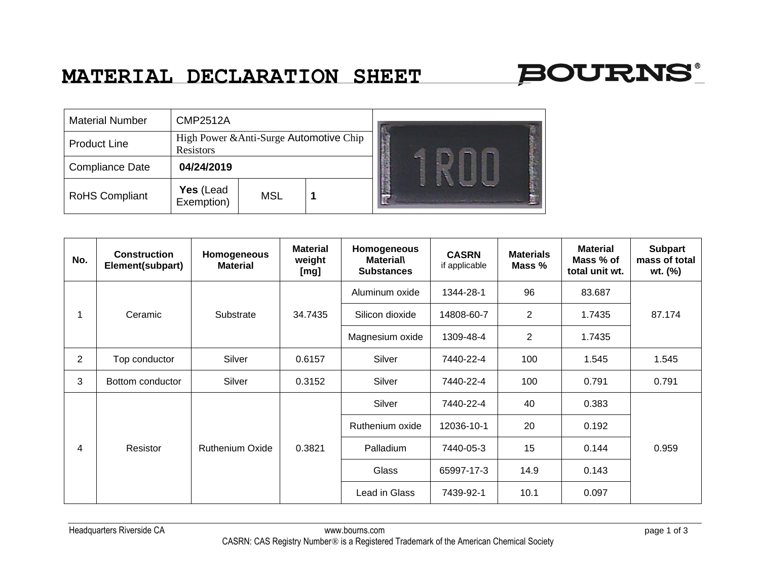## **MATERIAL DECLARATION SHEET**



| <b>Material Number</b> | <b>CMP2512A</b>                                      |            |  |   |  |
|------------------------|------------------------------------------------------|------------|--|---|--|
| <b>Product Line</b>    | High Power & Anti-Surge Automotive Chip<br>Resistors |            |  |   |  |
| <b>Compliance Date</b> | 04/24/2019                                           |            |  |   |  |
| <b>RoHS Compliant</b>  | Yes (Lead<br>Exemption)                              | <b>MSL</b> |  | е |  |

| No. | <b>Construction</b><br>Element(subpart) | <b>Homogeneous</b><br><b>Material</b> | <b>Material</b><br>weight<br>[mg] | Homogeneous<br><b>Material\</b><br><b>Substances</b> | <b>CASRN</b><br>if applicable | <b>Materials</b><br>Mass % | <b>Material</b><br>Mass % of<br>total unit wt. | <b>Subpart</b><br>mass of total<br>wt. (%) |
|-----|-----------------------------------------|---------------------------------------|-----------------------------------|------------------------------------------------------|-------------------------------|----------------------------|------------------------------------------------|--------------------------------------------|
| 1   | Ceramic                                 | Substrate                             | 34.7435                           | Aluminum oxide                                       | 1344-28-1                     | 96                         | 83.687                                         | 87.174                                     |
|     |                                         |                                       |                                   | Silicon dioxide                                      | 14808-60-7                    | $\overline{2}$             | 1.7435                                         |                                            |
|     |                                         |                                       |                                   | Magnesium oxide                                      | 1309-48-4                     | 2                          | 1.7435                                         |                                            |
| 2   | Top conductor                           | Silver                                | 0.6157                            | Silver                                               | 7440-22-4                     | 100                        | 1.545                                          | 1.545                                      |
| 3   | Bottom conductor                        | Silver                                | 0.3152                            | Silver                                               | 7440-22-4                     | 100                        | 0.791                                          | 0.791                                      |
| 4   | Resistor                                | Ruthenium Oxide                       | 0.3821                            | Silver                                               | 7440-22-4                     | 40                         | 0.383                                          | 0.959                                      |
|     |                                         |                                       |                                   | Ruthenium oxide                                      | 12036-10-1                    | 20                         | 0.192                                          |                                            |
|     |                                         |                                       |                                   | Palladium                                            | 7440-05-3                     | 15                         | 0.144                                          |                                            |
|     |                                         |                                       |                                   | Glass                                                | 65997-17-3                    | 14.9                       | 0.143                                          |                                            |
|     |                                         |                                       |                                   | Lead in Glass                                        | 7439-92-1                     | 10.1                       | 0.097                                          |                                            |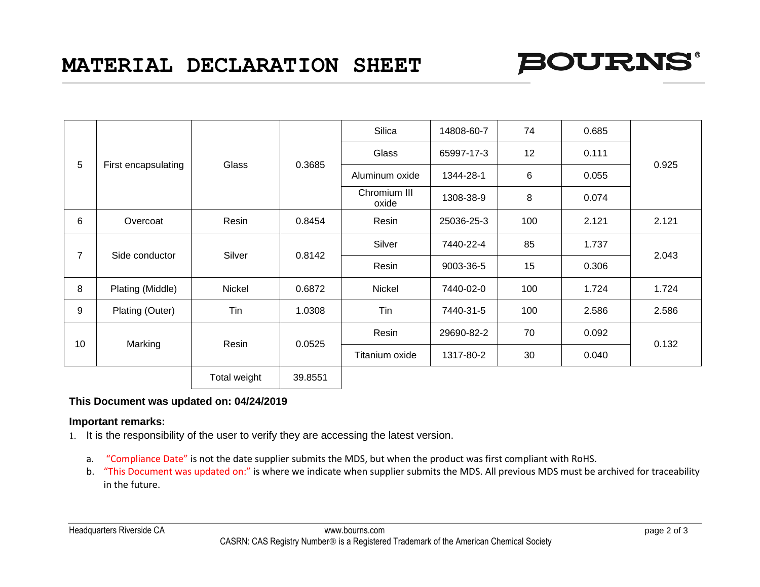

| 5              | First encapsulating | Glass        | 0.3685  | Silica                | 14808-60-7 | 74  | 0.685 | 0.925 |
|----------------|---------------------|--------------|---------|-----------------------|------------|-----|-------|-------|
|                |                     |              |         | Glass                 | 65997-17-3 | 12  | 0.111 |       |
|                |                     |              |         | Aluminum oxide        | 1344-28-1  | 6   | 0.055 |       |
|                |                     |              |         | Chromium III<br>oxide | 1308-38-9  | 8   | 0.074 |       |
| 6              | Overcoat            | Resin        | 0.8454  | Resin                 | 25036-25-3 | 100 | 2.121 | 2.121 |
|                |                     |              |         | Silver                | 7440-22-4  | 85  | 1.737 |       |
| $\overline{7}$ | Side conductor      | Silver       | 0.8142  | Resin                 | 9003-36-5  | 15  | 0.306 | 2.043 |
| 8              | Plating (Middle)    | Nickel       | 0.6872  | Nickel                | 7440-02-0  | 100 | 1.724 | 1.724 |
| 9              | Plating (Outer)     | Tin          | 1.0308  | Tin                   | 7440-31-5  | 100 | 2.586 | 2.586 |
| 10             | Marking             | Resin        | 0.0525  | Resin                 | 29690-82-2 | 70  | 0.092 | 0.132 |
|                |                     |              |         | Titanium oxide        | 1317-80-2  | 30  | 0.040 |       |
|                |                     | Total weight | 39.8551 |                       |            |     |       |       |

## **This Document was updated on: 04/24/2019**

## **Important remarks:**

- 1. It is the responsibility of the user to verify they are accessing the latest version.
	- a. "Compliance Date" is not the date supplier submits the MDS, but when the product was first compliant with RoHS.
	- b. "This Document was updated on:" is where we indicate when supplier submits the MDS. All previous MDS must be archived for traceability in the future.